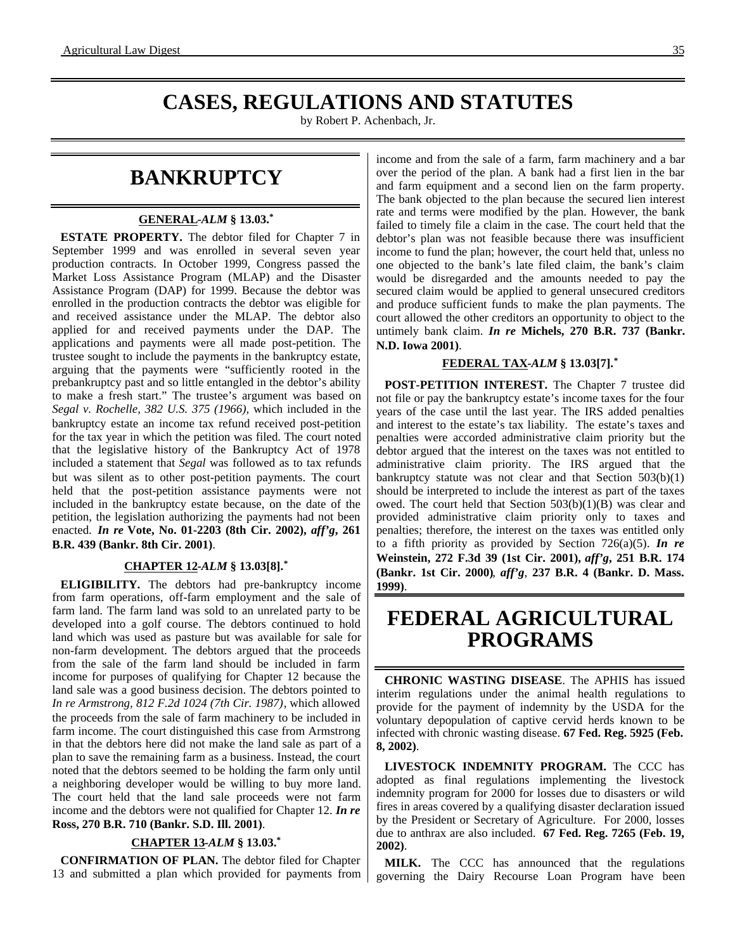# **CASES, REGULATIONS AND STATUTES**

by Robert P. Achenbach, Jr.

# **BANKRUPTCY**

#### **GENERAL -***ALM* **§ 13.03.\***

**ESTATE PROPERTY.** The debtor filed for Chapter 7 in September 1999 and was enrolled in several seven year production contracts. In October 1999, Congress passed the Market Loss Assistance Program (MLAP) and the Disaster Assistance Program (DAP) for 1999. Because the debtor was enrolled in the production contracts the debtor was eligible for and received assistance under the MLAP. The debtor also applied for and received payments under the DAP. The applications and payments were all made post-petition. The trustee sought to include the payments in the bankruptcy estate, arguing that the payments were "sufficiently rooted in the prebankruptcy past and so little entangled in the debtor's ability to make a fresh start." The trustee's argument was based on *Segal v. Rochelle, 382 U.S. 375 (1966),* which included in the bankruptcy estate an income tax refund received post-petition for the tax year in which the petition was filed. The court noted that the legislative history of the Bankruptcy Act of 1978 included a statement that *Segal* was followed as to tax refunds but was silent as to other post-petition payments. The court held that the post-petition assistance payments were not included in the bankruptcy estate because, on the date of the petition, the legislation authorizing the payments had not been enacted. *In re* **Vote, No. 01-2203 (8th Cir. 2002),** *aff'g***, 261 B.R. 439 (Bankr. 8th Cir. 2001)**.

#### **CHAPTER 12 -***ALM* **§ 13.03[8].\***

**ELIGIBILITY.** The debtors had pre-bankruptcy income from farm operations, off-farm employment and the sale of farm land. The farm land was sold to an unrelated party to be developed into a golf course. The debtors continued to hold land which was used as pasture but was available for sale for non-farm development. The debtors argued that the proceeds from the sale of the farm land should be included in farm income for purposes of qualifying for Chapter 12 because the land sale was a good business decision. The debtors pointed to *In re Armstrong, 812 F.2d 1024 (7th Cir. 1987)*, which allowed the proceeds from the sale of farm machinery to be included in farm income. The court distinguished this case from Armstrong in that the debtors here did not make the land sale as part of a plan to save the remaining farm as a business. Instead, the court noted that the debtors seemed to be holding the farm only until a neighboring developer would be willing to buy more land. The court held that the land sale proceeds were not farm income and the debtors were not qualified for Chapter 12. *In re* **Ross, 270 B.R. 710 (Bankr. S.D. Ill. 2001)**.

#### **CHAPTER 13 -***ALM* **§ 13.03.\***

**CONFIRMATION OF PLAN.** The debtor filed for Chapter 13 and submitted a plan which provided for payments from

income and from the sale of a farm, farm machinery and a bar over the period of the plan. A bank had a first lien in the bar and farm equipment and a second lien on the farm property. The bank objected to the plan because the secured lien interest rate and terms were modified by the plan. However, the bank failed to timely file a claim in the case. The court held that the debtor's plan was not feasible because there was insufficient income to fund the plan; however, the court held that, unless no one objected to the bank's late filed claim, the bank's claim would be disregarded and the amounts needed to pay the secured claim would be applied to general unsecured creditors and produce sufficient funds to make the plan payments. The court allowed the other creditors an opportunity to object to the untimely bank claim. *In re* **Michels, 270 B.R. 737 (Bankr. N.D. Iowa 2001)**.

### **FEDERAL TAX -***ALM* **§ 13.03[7].\***

**POST-PETITION INTEREST.** The Chapter 7 trustee did not file or pay the bankruptcy estate's income taxes for the four years of the case until the last year. The IRS added penalties and interest to the estate's tax liability. The estate's taxes and penalties were accorded administrative claim priority but the debtor argued that the interest on the taxes was not entitled to administrative claim priority. The IRS argued that the bankruptcy statute was not clear and that Section 503(b)(1) should be interpreted to include the interest as part of the taxes owed. The court held that Section 503(b)(1)(B) was clear and provided administrative claim priority only to taxes and penalties; therefore, the interest on the taxes was entitled only to a fifth priority as provided by Section 726(a)(5). *In re* **Weinstein, 272 F.3d 39 (1st Cir. 2001),** *aff'g***, 251 B.R. 174 (Bankr. 1st Cir. 2000)**, *aff'g*, **237 B.R. 4 (Bankr. D. Mass. 1999)**.

# **FEDERAL AGRICULTURAL PROGRAMS**

**CHRONIC WASTING DISEASE**. The APHIS has issued interim regulations under the animal health regulations to provide for the payment of indemnity by the USDA for the voluntary depopulation of captive cervid herds known to be infected with chronic wasting disease. **67 Fed. Reg. 5925 (Feb. 8, 2002)**.

**LIVESTOCK INDEMNITY PROGRAM.** The CCC has adopted as final regulations implementing the livestock indemnity program for 2000 for losses due to disasters or wild fires in areas covered by a qualifying disaster declaration issued by the President or Secretary of Agriculture. For 2000, losses due to anthrax are also included. **67 Fed. Reg. 7265 (Feb. 19, 2002)**.

**MILK.** The CCC has announced that the regulations governing the Dairy Recourse Loan Program have been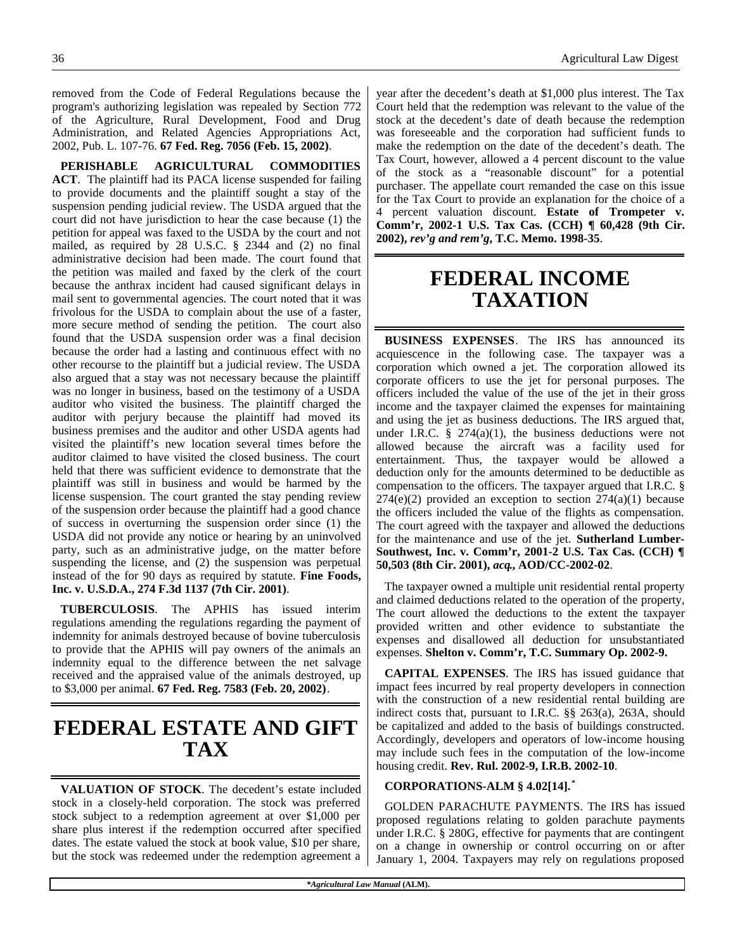removed from the Code of Federal Regulations because the program's authorizing legislation was repealed by Section 772 of the Agriculture, Rural Development, Food and Drug Administration, and Related Agencies Appropriations Act, 2002, Pub. L. 107-76. **67 Fed. Reg. 7056 (Feb. 15, 2002)**.

**PERISHABLE AGRICULTURAL COMMODITIES ACT**. The plaintiff had its PACA license suspended for failing to provide documents and the plaintiff sought a stay of the suspension pending judicial review. The USDA argued that the court did not have jurisdiction to hear the case because (1) the petition for appeal was faxed to the USDA by the court and not mailed, as required by 28 U.S.C. § 2344 and (2) no final administrative decision had been made. The court found that the petition was mailed and faxed by the clerk of the court because the anthrax incident had caused significant delays in mail sent to governmental agencies. The court noted that it was frivolous for the USDA to complain about the use of a faster, more secure method of sending the petition. The court also found that the USDA suspension order was a final decision because the order had a lasting and continuous effect with no other recourse to the plaintiff but a judicial review. The USDA also argued that a stay was not necessary because the plaintiff was no longer in business, based on the testimony of a USDA auditor who visited the business. The plaintiff charged the auditor with perjury because the plaintiff had moved its business premises and the auditor and other USDA agents had visited the plaintiff's new location several times before the auditor claimed to have visited the closed business. The court held that there was sufficient evidence to demonstrate that the plaintiff was still in business and would be harmed by the license suspension. The court granted the stay pending review of the suspension order because the plaintiff had a good chance of success in overturning the suspension order since (1) the USDA did not provide any notice or hearing by an uninvolved party, such as an administrative judge, on the matter before suspending the license, and (2) the suspension was perpetual instead of the for 90 days as required by statute. **Fine Foods, Inc. v. U.S.D.A., 274 F.3d 1137 (7th Cir. 2001)**.

**TUBERCULOSIS**. The APHIS has issued interim regulations amending the regulations regarding the payment of indemnity for animals destroyed because of bovine tuberculosis to provide that the APHIS will pay owners of the animals an indemnity equal to the difference between the net salvage received and the appraised value of the animals destroyed, up to \$3,000 per animal. **67 Fed. Reg. 7583 (Feb. 20, 2002)**.

# **FEDERAL ESTATE AND GIFT TAX**

**VALUATION OF STOCK**. The decedent's estate included stock in a closely-held corporation. The stock was preferred stock subject to a redemption agreement at over \$1,000 per share plus interest if the redemption occurred after specified dates. The estate valued the stock at book value, \$10 per share, but the stock was redeemed under the redemption agreement a

year after the decedent's death at \$1,000 plus interest. The Tax Court held that the redemption was relevant to the value of the stock at the decedent's date of death because the redemption was foreseeable and the corporation had sufficient funds to make the redemption on the date of the decedent's death. The Tax Court, however, allowed a 4 percent discount to the value of the stock as a "reasonable discount" for a potential purchaser. The appellate court remanded the case on this issue for the Tax Court to provide an explanation for the choice of a 4 percent valuation discount. **Estate of Trompeter v. Comm'r, 2002-1 U.S. Tax Cas. (CCH) ¶ 60,428 (9th Cir. 2002),** *rev'g and rem'g***, T.C. Memo. 1998-35**.

# **FEDERAL INCOME TAXATION**

**BUSINESS EXPENSES**. The IRS has announced its acquiescence in the following case. The taxpayer was a corporation which owned a jet. The corporation allowed its corporate officers to use the jet for personal purposes. The officers included the value of the use of the jet in their gross income and the taxpayer claimed the expenses for maintaining and using the jet as business deductions. The IRS argued that, under I.R.C.  $\frac{8}{9}$  274(a)(1), the business deductions were not allowed because the aircraft was a facility used for entertainment. Thus, the taxpayer would be allowed a deduction only for the amounts determined to be deductible as compensation to the officers. The taxpayer argued that I.R.C. §  $274(e)(2)$  provided an exception to section  $274(a)(1)$  because the officers included the value of the flights as compensation. The court agreed with the taxpayer and allowed the deductions for the maintenance and use of the jet. **Sutherland Lumber-Southwest, Inc. v. Comm'r, 2001-2 U.S. Tax Cas. (CCH) ¶ 50,503 (8th Cir. 2001),** *acq***., AOD/CC-2002-02**.

The taxpayer owned a multiple unit residential rental property and claimed deductions related to the operation of the property, The court allowed the deductions to the extent the taxpayer provided written and other evidence to substantiate the expenses and disallowed all deduction for unsubstantiated expenses. **Shelton v. Comm'r, T.C. Summary Op. 2002-9.**

**CAPITAL EXPENSES**. The IRS has issued guidance that impact fees incurred by real property developers in connection with the construction of a new residential rental building are indirect costs that, pursuant to I.R.C. §§ 263(a), 263A, should be capitalized and added to the basis of buildings constructed. Accordingly, developers and operators of low-income housing may include such fees in the computation of the low-income housing credit. **Rev. Rul. 2002-9, I.R.B. 2002-10**.

### **CORPORATIONS-ALM § 4.02[14]. \***

GOLDEN PARACHUTE PAYMENTS. The IRS has issued proposed regulations relating to golden parachute payments under I.R.C. § 280G, effective for payments that are contingent on a change in ownership or control occurring on or after January 1, 2004. Taxpayers may rely on regulations proposed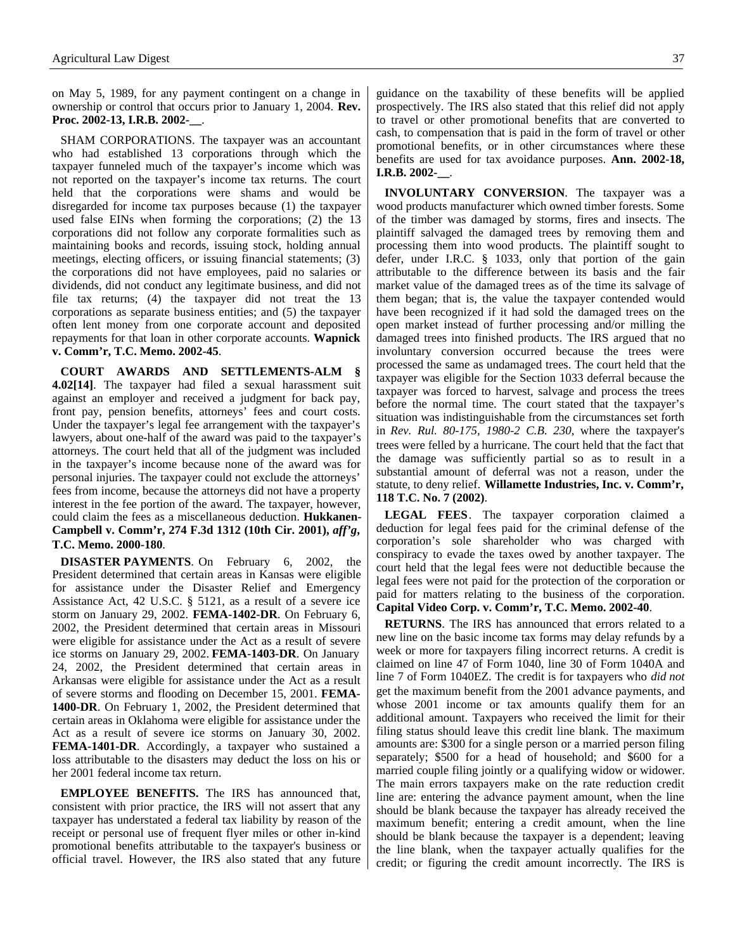on May 5, 1989, for any payment contingent on a change in ownership or control that occurs prior to January 1, 2004. **Rev. Proc. 2002-13, I.R.B. 2002-\_\_**.

SHAM CORPORATIONS. The taxpayer was an accountant who had established 13 corporations through which the taxpayer funneled much of the taxpayer's income which was not reported on the taxpayer's income tax returns. The court held that the corporations were shams and would be disregarded for income tax purposes because (1) the taxpayer used false EINs when forming the corporations; (2) the 13 corporations did not follow any corporate formalities such as maintaining books and records, issuing stock, holding annual meetings, electing officers, or issuing financial statements; (3) the corporations did not have employees, paid no salaries or dividends, did not conduct any legitimate business, and did not file tax returns; (4) the taxpayer did not treat the 13 corporations as separate business entities; and (5) the taxpayer often lent money from one corporate account and deposited repayments for that loan in other corporate accounts. **Wapnick v. Comm'r, T.C. Memo. 2002-45**.

**COURT AWARDS AND SETTLEMENTS-ALM § 4.02[14]**. The taxpayer had filed a sexual harassment suit against an employer and received a judgment for back pay, front pay, pension benefits, attorneys' fees and court costs. Under the taxpayer's legal fee arrangement with the taxpayer's lawyers, about one-half of the award was paid to the taxpayer's attorneys. The court held that all of the judgment was included in the taxpayer's income because none of the award was for personal injuries. The taxpayer could not exclude the attorneys' fees from income, because the attorneys did not have a property interest in the fee portion of the award. The taxpayer, however, could claim the fees as a miscellaneous deduction. **Hukkanen-Campbell v. Comm'r, 274 F.3d 1312 (10th Cir. 2001),** *aff'g***, T.C. Memo. 2000-180**.

**DISASTER PAYMENTS**. On February 6, 2002, the President determined that certain areas in Kansas were eligible for assistance under the Disaster Relief and Emergency Assistance Act, 42 U.S.C. § 5121, as a result of a severe ice storm on January 29, 2002. **FEMA-1402-DR**. On February 6, 2002, the President determined that certain areas in Missouri were eligible for assistance under the Act as a result of severe ice storms on January 29, 2002. **FEMA-1403-DR**. On January 24, 2002, the President determined that certain areas in Arkansas were eligible for assistance under the Act as a result of severe storms and flooding on December 15, 2001. **FEMA-1400-DR**. On February 1, 2002, the President determined that certain areas in Oklahoma were eligible for assistance under the Act as a result of severe ice storms on January 30, 2002. **FEMA-1401-DR**. Accordingly, a taxpayer who sustained a loss attributable to the disasters may deduct the loss on his or her 2001 federal income tax return.

**EMPLOYEE BENEFITS.** The IRS has announced that, consistent with prior practice, the IRS will not assert that any taxpayer has understated a federal tax liability by reason of the receipt or personal use of frequent flyer miles or other in-kind promotional benefits attributable to the taxpayer's business or official travel. However, the IRS also stated that any future guidance on the taxability of these benefits will be applied prospectively. The IRS also stated that this relief did not apply to travel or other promotional benefits that are converted to cash, to compensation that is paid in the form of travel or other promotional benefits, or in other circumstances where these benefits are used for tax avoidance purposes. **Ann. 2002-18, I.R.B. 2002-\_\_**.

**INVOLUNTARY CONVERSION**. The taxpayer was a wood products manufacturer which owned timber forests. Some of the timber was damaged by storms, fires and insects. The plaintiff salvaged the damaged trees by removing them and processing them into wood products. The plaintiff sought to defer, under I.R.C. § 1033, only that portion of the gain attributable to the difference between its basis and the fair market value of the damaged trees as of the time its salvage of them began; that is, the value the taxpayer contended would have been recognized if it had sold the damaged trees on the open market instead of further processing and/or milling the damaged trees into finished products. The IRS argued that no involuntary conversion occurred because the trees were processed the same as undamaged trees. The court held that the taxpayer was eligible for the Section 1033 deferral because the taxpayer was forced to harvest, salvage and process the trees before the normal time. The court stated that the taxpayer's situation was indistinguishable from the circumstances set forth in *Rev. Rul. 80-175, 1980-2 C.B. 230*, where the taxpayer's trees were felled by a hurricane. The court held that the fact that the damage was sufficiently partial so as to result in a substantial amount of deferral was not a reason, under the statute, to deny relief. **Willamette Industries, Inc. v. Comm'r, 118 T.C. No. 7 (2002)**.

**LEGAL FEES**. The taxpayer corporation claimed a deduction for legal fees paid for the criminal defense of the corporation's sole shareholder who was charged with conspiracy to evade the taxes owed by another taxpayer. The court held that the legal fees were not deductible because the legal fees were not paid for the protection of the corporation or paid for matters relating to the business of the corporation. **Capital Video Corp. v. Comm'r, T.C. Memo. 2002-40**.

**RETURNS**. The IRS has announced that errors related to a new line on the basic income tax forms may delay refunds by a week or more for taxpayers filing incorrect returns. A credit is claimed on line 47 of Form 1040, line 30 of Form 1040A and line 7 of Form 1040EZ. The credit is for taxpayers who *did not* get the maximum benefit from the 2001 advance payments, and whose 2001 income or tax amounts qualify them for an additional amount. Taxpayers who received the limit for their filing status should leave this credit line blank. The maximum amounts are: \$300 for a single person or a married person filing separately; \$500 for a head of household; and \$600 for a married couple filing jointly or a qualifying widow or widower. The main errors taxpayers make on the rate reduction credit line are: entering the advance payment amount, when the line should be blank because the taxpayer has already received the maximum benefit; entering a credit amount, when the line should be blank because the taxpayer is a dependent; leaving the line blank, when the taxpayer actually qualifies for the credit; or figuring the credit amount incorrectly. The IRS is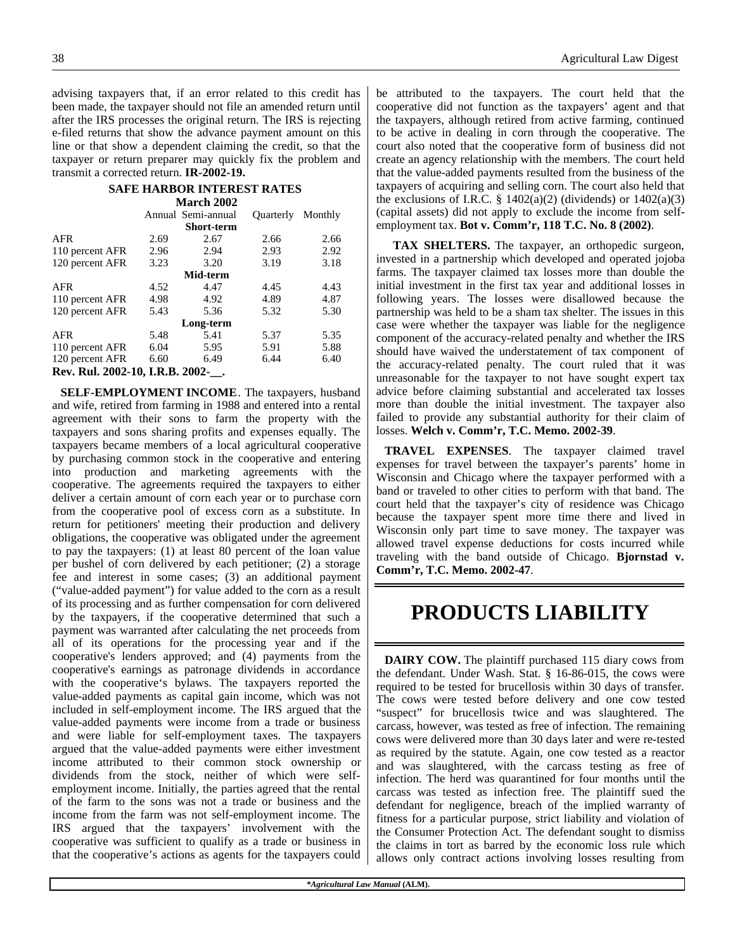advising taxpayers that, if an error related to this credit has been made, the taxpayer should not file an amended return until after the IRS processes the original return. The IRS is rejecting e-filed returns that show the advance payment amount on this line or that show a dependent claiming the credit, so that the taxpayer or return preparer may quickly fix the problem and transmit a corrected return. **IR-2002-19.**

#### **SAFE HARBOR INTEREST RATES March 2002**

|                                 |      | Annual Semi-annual | <b>Ouarterly</b> | Monthly |  |
|---------------------------------|------|--------------------|------------------|---------|--|
| <b>Short-term</b>               |      |                    |                  |         |  |
| <b>AFR</b>                      | 2.69 | 2.67               | 2.66             | 2.66    |  |
| 110 percent AFR                 | 2.96 | 2.94               | 2.93             | 2.92    |  |
| 120 percent AFR                 | 3.23 | 3.20               | 3.19             | 3.18    |  |
| Mid-term                        |      |                    |                  |         |  |
| <b>AFR</b>                      | 4.52 | 4.47               | 4.45             | 4.43    |  |
| 110 percent AFR                 | 4.98 | 4.92               | 4.89             | 4.87    |  |
| 120 percent AFR                 | 5.43 | 5.36               | 5.32             | 5.30    |  |
| Long-term                       |      |                    |                  |         |  |
| <b>AFR</b>                      | 5.48 | 5.41               | 5.37             | 5.35    |  |
| 110 percent AFR                 | 6.04 | 5.95               | 5.91             | 5.88    |  |
| 120 percent AFR                 | 6.60 | 6.49               | 6.44             | 6.40    |  |
| Rev. Rul. 2002-10, I.R.B. 2002- |      |                    |                  |         |  |

**SELF-EMPLOYMENT INCOME**. The taxpayers, husband and wife, retired from farming in 1988 and entered into a rental agreement with their sons to farm the property with the taxpayers and sons sharing profits and expenses equally. The taxpayers became members of a local agricultural cooperative by purchasing common stock in the cooperative and entering into production and marketing agreements with the cooperative. The agreements required the taxpayers to either deliver a certain amount of corn each year or to purchase corn from the cooperative pool of excess corn as a substitute. In return for petitioners' meeting their production and delivery obligations, the cooperative was obligated under the agreement to pay the taxpayers: (1) at least 80 percent of the loan value per bushel of corn delivered by each petitioner; (2) a storage fee and interest in some cases; (3) an additional payment ("value-added payment") for value added to the corn as a result of its processing and as further compensation for corn delivered by the taxpayers, if the cooperative determined that such a payment was warranted after calculating the net proceeds from all of its operations for the processing year and if the cooperative's lenders approved; and (4) payments from the cooperative's earnings as patronage dividends in accordance with the cooperative's bylaws. The taxpayers reported the value-added payments as capital gain income, which was not included in self-employment income. The IRS argued that the value-added payments were income from a trade or business and were liable for self-employment taxes. The taxpayers argued that the value-added payments were either investment income attributed to their common stock ownership or dividends from the stock, neither of which were selfemployment income. Initially, the parties agreed that the rental of the farm to the sons was not a trade or business and the income from the farm was not self-employment income. The IRS argued that the taxpayers' involvement with the cooperative was sufficient to qualify as a trade or business in that the cooperative's actions as agents for the taxpayers could be attributed to the taxpayers. The court held that the cooperative did not function as the taxpayers' agent and that the taxpayers, although retired from active farming, continued to be active in dealing in corn through the cooperative. The court also noted that the cooperative form of business did not create an agency relationship with the members. The court held that the value-added payments resulted from the business of the taxpayers of acquiring and selling corn. The court also held that the exclusions of I.R.C.  $\S$  1402(a)(2) (dividends) or 1402(a)(3) (capital assets) did not apply to exclude the income from selfemployment tax. **Bot v. Comm'r, 118 T.C. No. 8 (2002)**.

**TAX SHELTERS.** The taxpayer, an orthopedic surgeon, invested in a partnership which developed and operated jojoba farms. The taxpayer claimed tax losses more than double the initial investment in the first tax year and additional losses in following years. The losses were disallowed because the partnership was held to be a sham tax shelter. The issues in this case were whether the taxpayer was liable for the negligence component of the accuracy-related penalty and whether the IRS should have waived the understatement of tax component of the accuracy-related penalty. The court ruled that it was unreasonable for the taxpayer to not have sought expert tax advice before claiming substantial and accelerated tax losses more than double the initial investment. The taxpayer also failed to provide any substantial authority for their claim of losses. **Welch v. Comm'r, T.C. Memo. 2002-39**.

**TRAVEL EXPENSES**. The taxpayer claimed travel expenses for travel between the taxpayer's parents' home in Wisconsin and Chicago where the taxpayer performed with a band or traveled to other cities to perform with that band. The court held that the taxpayer's city of residence was Chicago because the taxpayer spent more time there and lived in Wisconsin only part time to save money. The taxpayer was allowed travel expense deductions for costs incurred while traveling with the band outside of Chicago. **Bjornstad v. Comm'r, T.C. Memo. 2002-47**.

# **PRODUCTS LIABILITY**

**DAIRY COW.** The plaintiff purchased 115 diary cows from the defendant. Under Wash. Stat. § 16-86-015, the cows were required to be tested for brucellosis within 30 days of transfer. The cows were tested before delivery and one cow tested "suspect" for brucellosis twice and was slaughtered. The carcass, however, was tested as free of infection. The remaining cows were delivered more than 30 days later and were re-tested as required by the statute. Again, one cow tested as a reactor and was slaughtered, with the carcass testing as free of infection. The herd was quarantined for four months until the carcass was tested as infection free. The plaintiff sued the defendant for negligence, breach of the implied warranty of fitness for a particular purpose, strict liability and violation of the Consumer Protection Act. The defendant sought to dismiss the claims in tort as barred by the economic loss rule which allows only contract actions involving losses resulting from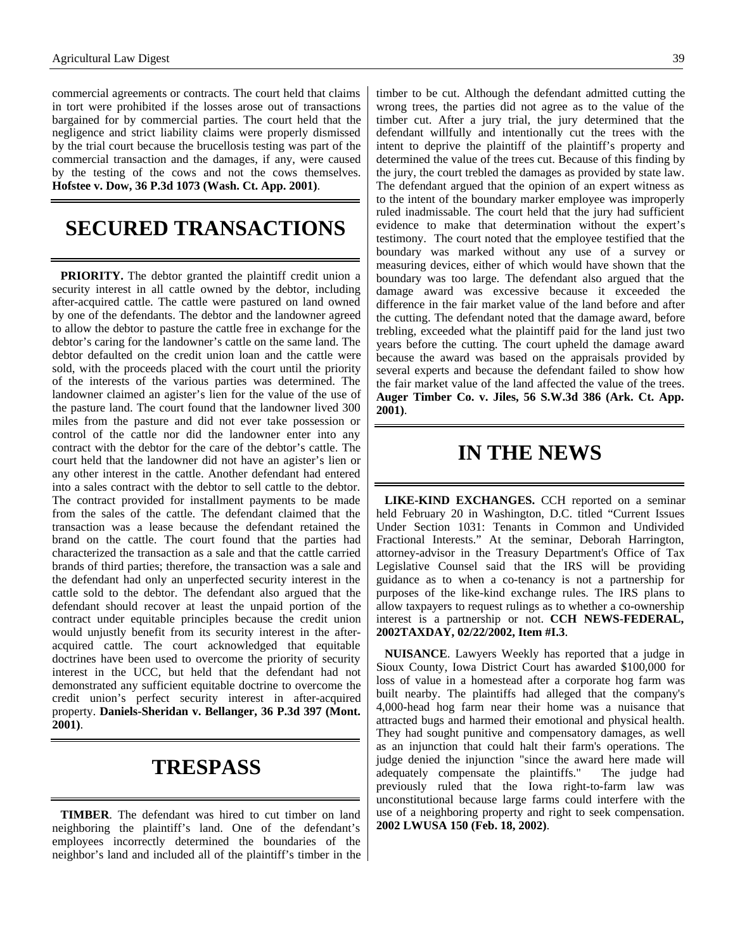commercial agreements or contracts. The court held that claims in tort were prohibited if the losses arose out of transactions bargained for by commercial parties. The court held that the negligence and strict liability claims were properly dismissed by the trial court because the brucellosis testing was part of the commercial transaction and the damages, if any, were caused by the testing of the cows and not the cows themselves. **Hofstee v. Dow, 36 P.3d 1073 (Wash. Ct. App. 2001)**.

# **SECURED TRANSACTIONS**

**PRIORITY.** The debtor granted the plaintiff credit union a security interest in all cattle owned by the debtor, including after-acquired cattle. The cattle were pastured on land owned by one of the defendants. The debtor and the landowner agreed to allow the debtor to pasture the cattle free in exchange for the debtor's caring for the landowner's cattle on the same land. The debtor defaulted on the credit union loan and the cattle were sold, with the proceeds placed with the court until the priority of the interests of the various parties was determined. The landowner claimed an agister's lien for the value of the use of the pasture land. The court found that the landowner lived 300 miles from the pasture and did not ever take possession or control of the cattle nor did the landowner enter into any contract with the debtor for the care of the debtor's cattle. The court held that the landowner did not have an agister's lien or any other interest in the cattle. Another defendant had entered into a sales contract with the debtor to sell cattle to the debtor. The contract provided for installment payments to be made from the sales of the cattle. The defendant claimed that the transaction was a lease because the defendant retained the brand on the cattle. The court found that the parties had characterized the transaction as a sale and that the cattle carried brands of third parties; therefore, the transaction was a sale and the defendant had only an unperfected security interest in the cattle sold to the debtor. The defendant also argued that the defendant should recover at least the unpaid portion of the contract under equitable principles because the credit union would unjustly benefit from its security interest in the afteracquired cattle. The court acknowledged that equitable doctrines have been used to overcome the priority of security interest in the UCC, but held that the defendant had not demonstrated any sufficient equitable doctrine to overcome the credit union's perfect security interest in after-acquired property. **Daniels-Sheridan v. Bellanger, 36 P.3d 397 (Mont. 2001)**.

## **TRESPASS**

**TIMBER**. The defendant was hired to cut timber on land neighboring the plaintiff's land. One of the defendant's employees incorrectly determined the boundaries of the neighbor's land and included all of the plaintiff's timber in the timber to be cut. Although the defendant admitted cutting the wrong trees, the parties did not agree as to the value of the timber cut. After a jury trial, the jury determined that the defendant willfully and intentionally cut the trees with the intent to deprive the plaintiff of the plaintiff's property and determined the value of the trees cut. Because of this finding by the jury, the court trebled the damages as provided by state law. The defendant argued that the opinion of an expert witness as to the intent of the boundary marker employee was improperly ruled inadmissable. The court held that the jury had sufficient evidence to make that determination without the expert's testimony. The court noted that the employee testified that the boundary was marked without any use of a survey or measuring devices, either of which would have shown that the boundary was too large. The defendant also argued that the damage award was excessive because it exceeded the difference in the fair market value of the land before and after the cutting. The defendant noted that the damage award, before trebling, exceeded what the plaintiff paid for the land just two years before the cutting. The court upheld the damage award because the award was based on the appraisals provided by several experts and because the defendant failed to show how the fair market value of the land affected the value of the trees. **Auger Timber Co. v. Jiles, 56 S.W.3d 386 (Ark. Ct. App. 2001)**.

### **IN THE NEWS**

**LIKE-KIND EXCHANGES.** CCH reported on a seminar held February 20 in Washington, D.C. titled "Current Issues Under Section 1031: Tenants in Common and Undivided Fractional Interests." At the seminar, Deborah Harrington, attorney-advisor in the Treasury Department's Office of Tax Legislative Counsel said that the IRS will be providing guidance as to when a co-tenancy is not a partnership for purposes of the like-kind exchange rules. The IRS plans to allow taxpayers to request rulings as to whether a co-ownership interest is a partnership or not. **CCH NEWS-FEDERAL, 2002TAXDAY, 02/22/2002, Item #I.3**.

**NUISANCE**. Lawyers Weekly has reported that a judge in Sioux County, Iowa District Court has awarded \$100,000 for loss of value in a homestead after a corporate hog farm was built nearby. The plaintiffs had alleged that the company's 4,000-head hog farm near their home was a nuisance that attracted bugs and harmed their emotional and physical health. They had sought punitive and compensatory damages, as well as an injunction that could halt their farm's operations. The judge denied the injunction "since the award here made will adequately compensate the plaintiffs." The judge had previously ruled that the Iowa right-to-farm law was unconstitutional because large farms could interfere with the use of a neighboring property and right to seek compensation. **2002 LWUSA 150 (Feb. 18, 2002)**.